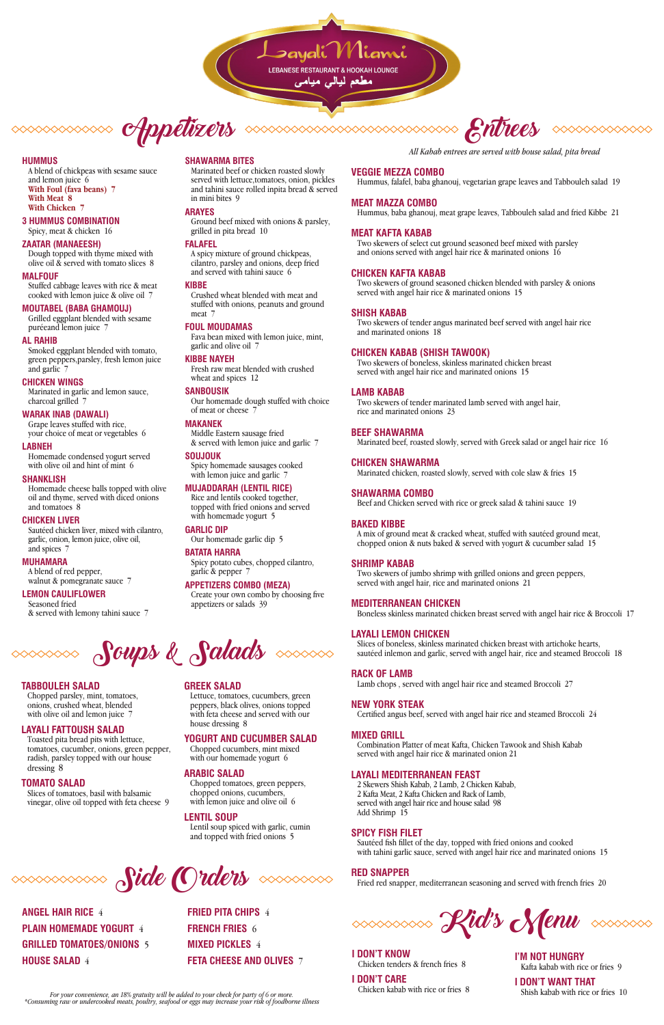LEBANESE RESTAURANT & HOOKAH LOUNGE

مطعم لیال*ی* میاه

**CHppetizers** 

#### **HUMMUS**

A blend of chickpeas with sesame sauce and lemon juice 6 **With Foul (fava beans) 7 With Meat 8 With Chicken 7**

#### **3 HUMMUS COMBINATION** Spicy, meat & chicken 16

#### **ZAATAR (MANAEESH)**

Dough topped with thyme mixed with olive oil & served with tomato slices 8

#### **MALFOUF**

Stuffed cabbage leaves with rice & meat cooked with lemon juice & olive oil 7

Homemade condensed yogurt served with olive oil and hint of mint 6

#### **MOUTABEL (BABA GHAMOUJ)**

Grilled eggplant blended with sesame puréeand lemon juice 7

#### **AL RAHIB**

Smoked eggplant blended with tomato, green peppers,parsley, fresh lemon juice and garlic 7

A blend of red pepper, walnut & pomegranate sauce 7

#### **CHICKEN WINGS**

Marinated in garlic and lemon sauce, charcoal grilled 7

#### **WARAK INAB (DAWALI)**

Grape leaves stuffed with rice, your choice of meat or vegetables 6

#### **LABNEH**

#### **SHANKLISH**

Fresh raw meat blended with crushed wheat and spices 12

Homemade cheese balls topped with olive oil and thyme, served with diced onions and tomatoes 8

#### **CHICKEN LIVER**

Spicy homemade sausages cooked with lemon juice and garlic 7

Sautéed chicken liver, mixed with cilantro, garlic, onion, lemon juice, olive oil, and spices 7

Rice and lentils cooked together, topped with fried onions and served with homemade yogurt 5

#### **MUHAMARA**

# **LEMON CAULIFLOWER**

Seasoned fried & served with lemony tahini sauce 7

# **SHAWARMA BITES**

Chopped parsley, mint, tomatoes, onions, crushed wheat, blended with olive oil and lemon juice 7

Marinated beef or chicken roasted slowly served with lettuce,tomatoes, onion, pickles and tahini sauce rolled inpita bread & served in mini bites 9

#### **ARAYES**

Ground beef mixed with onions & parsley, grilled in pita bread 10

#### **FALAFEL**

A spicy mixture of ground chickpeas, cilantro, parsley and onions, deep fried and served with tahini sauce 6

Chopped tomatoes, green peppers, chopped onions, cucumbers, with lemon juice and olive oil 6

#### **KIBBE**

Crushed wheat blended with meat and stuffed with onions, peanuts and ground meat 7

#### **FOUL MOUDAMAS**

Fava bean mixed with lemon juice, mint, garlic and olive oil 7

#### **KIBBE NAYEH**

#### **SANBOUSIK**

Our homemade dough stuffed with choice of meat or cheese 7

# **MAKANEK**

Middle Eastern sausage fried & served with lemon juice and garlic 7

#### **SOUJOUK**

# **MUJADDARAH (LENTIL RICE)**

## **GARLIC DIP**

Our homemade garlic dip 5

# **BATATA HARRA**

Spicy potato cubes, chopped cilantro, garlic & pepper 7 **APPETIZERS COMBO (MEZA)**

Create your own combo by choosing five appetizers or salads 39



# **TABBOULEH SALAD**

#### **LAYALI FATTOUSH SALAD**

Toasted pita bread pits with lettuce, tomatoes, cucumber, onions, green pepper,

radish, parsley topped with our house dressing 8

#### **TOMATO SALAD**

Slices of tomatoes, basil with balsamic vinegar, olive oil topped with feta cheese 9 with our homemade yogurt 6

Sautéed fish fillet of the day, topped with fried onions and cooked with tahini garlic sauce, served with angel hair rice and marinated onions 15

# **GREEK SALAD**

Lettuce, tomatoes, cucumbers, green peppers, black olives, onions topped with feta cheese and served with our house dressing 8

#### **YOGURT AND CUCUMBER SALAD** Chopped cucumbers, mint mixed

# **ARABIC SALAD**

# **LENTIL SOUP**

Lentil soup spiced with garlic, cumin and topped with fried onions 5

**SIDE Orders** Source RED SNAPPER<br>Fried red snapper, mediterranean seasoning and served with french fries 20



*All Kabab entrees are served with house salad, pita bread*

# **VEGGIE MEZZA COMBO**

Hummus, falafel, baba ghanouj, vegetarian grape leaves and Tabbouleh salad 19

#### **MEAT MAZZA COMBO**

Hummus, baba ghanouj, meat grape leaves, Tabbouleh salad and fried Kibbe 21

#### **MEAT KAFTA KABAB**

Two skewers of select cut ground seasoned beef mixed with parsley and onions served with angel hair rice & marinated onions 16

#### **CHICKEN KAFTA KABAB**

Two skewers of ground seasoned chicken blended with parsley & onions served with angel hair rice & marinated onions 15

#### **SHISH KABAB**

Two skewers of tender angus marinated beef served with angel hair rice and marinated onions 18

#### **CHICKEN KABAB (SHISH TAWOOK)**

Two skewers of boneless, skinless marinated chicken breast served with angel hair rice and marinated onions 15

#### **LAMB KABAB**

Two skewers of tender marinated lamb served with angel hair, rice and marinated onions 23

#### **BEEF SHAWARMA**

Marinated beef, roasted slowly, served with Greek salad or angel hair rice 16

#### **CHICKEN SHAWARMA**

Marinated chicken, roasted slowly, served with cole slaw & fries 15

#### **SHAWARMA COMBO**

Beef and Chicken served with rice or greek salad & tahini sauce 19

#### **BAKED KIBBE**

A mix of ground meat & cracked wheat, stuffed with sautéed ground meat, chopped onion & nuts baked & served with yogurt & cucumber salad 15

#### **SHRIMP KABAB**

Two skewers of jumbo shrimp with grilled onions and green peppers, served with angel hair, rice and marinated onions 21

#### **MEDITERRANEAN CHICKEN**

Boneless skinless marinated chicken breast served with angel hair rice & Broccoli 17

#### **LAYALI LEMON CHICKEN**

Slices of boneless, skinless marinated chicken breast with artichoke hearts, sautéed inlemon and garlic, served with angel hair, rice and steamed Broccoli 18

#### **RACK OF LAMB**

Lamb chops , served with angel hair rice and steamed Broccoli 27

#### **NEW YORK STEAK**

Certified angus beef, served with angel hair rice and steamed Broccoli 24

#### **MIXED GRILL**

Combination Platter of meat Kafta, Chicken Tawook and Shish Kabab

served with angel hair rice & marinated onion 21

# **LAYALI MEDITERRANEAN FEAST**

2 Skewers Shish Kabab, 2 Lamb, 2 Chicken Kabab, 2 Kafta Meat, 2 Kafta Chicken and Rack of Lamb, served with angel hair rice and house salad 98 Add Shrimp 15

# **SPICY FISH FILET**

**ANGEL HAIR RICE** 4 **PLAIN HOMEMADE YOGURT** 4 **GRILLED TOMATOES/ONIONS** 5 **HOUSE SALAD** 4

**FRIED PITA CHIPS** 4 **FRENCH FRIES** 6 **MIXED PICKLES** 4 **FETA CHEESE AND OLIVES** 7

For your convenience, an 18% gratuity will be added to your check for party of 6 or more.<br>Consuming raw or undercooked meats, poultry, seafood or eggs may increase your risk of foodborne illness\* Chicken Kabab with rice or



**I DON'T KNOW** Chicken tenders & french fries 8

**I DON'T CARE** Chicken kabab with rice or fries 8 **I'M NOT HUNGRY** Kafta kabab with rice or fries 9

**I DON'T WANT THAT**